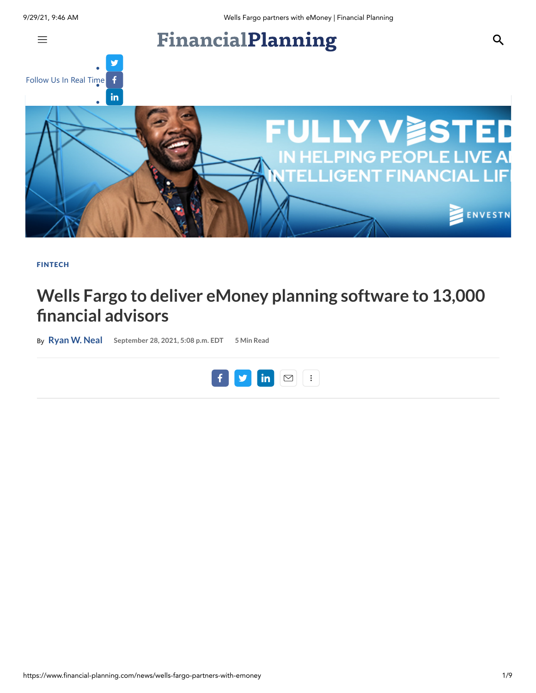$\equiv$ 

# FinancialPlanning





[FINTECH](https://www.financial-planning.com/fintech)

# **Wells Fargo to deliver eMoney planning software to 13,000 financial advisors**

**By [Ryan](https://www.financial-planning.com/author/ryan-w-neal) W. Neal September 28, 2021, 5:08 p.m. EDT 5 Min Read**



Q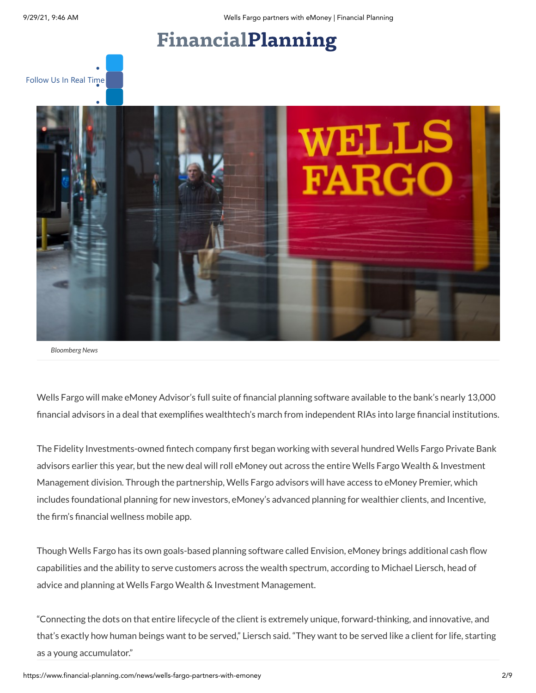Follow Us In Real Time



*Bloomberg News*

Wells Fargo will make eMoney Advisor's full suite of financial planning software available to the bank's nearly 13,000 financial advisors in a deal that exemplifies wealthtech's march from independent RIAs into large financial institutions.

The Fidelity Investments-owned fintech company first began working with several hundred Wells Fargo Private Bank advisors earlier this year, but the new deal will roll eMoney out across the entire Wells Fargo Wealth & Investment Management division. Through the partnership, Wells Fargo advisors will have access to eMoney Premier, which includes foundational planning for new investors, eMoney's advanced planning for wealthier clients, and Incentive, the firm's financial wellness mobile app.

Though Wells Fargo has its own goals-based planning software called Envision, eMoney brings additional cash flow capabilities and the ability to serve customers across the wealth spectrum, according to Michael Liersch, head of advice and planning at Wells Fargo Wealth & Investment Management.

"Connecting the dots on that entire lifecycle of the client is extremely unique, forward-thinking, and innovative, and that's exactly how human beings want to be served," Liersch said. "They want to be served like a client for life, starting as a young accumulator."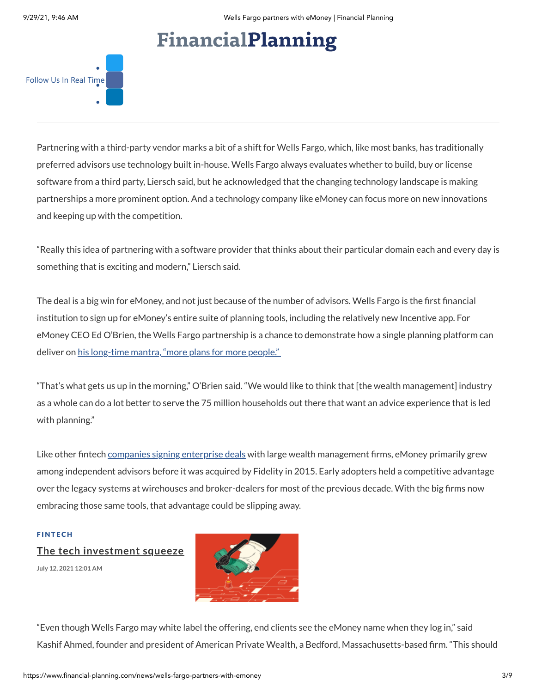# **A [Customer-Centric](https://www.financial-planning.com/video/a-customer-centric-approach-to-call-center-authentication) Approach to Call Center [Authentication](https://www.financial-planning.com/)**



Partnering with a third-party vendor marks a bit of a shift for Wells Fargo, which, like most banks, has traditionally preferred advisors use technology built in-house. Wells Fargo always evaluates whether to build, buy or license software from a third party, Liersch said, but he acknowledged that the changing technology landscape is making partnerships a more prominent option. And a technology company like eMoney can focus more on new innovations and keeping up with the competition.

"Really this idea of partnering with a software provider that thinks about their particular domain each and every day is something that is exciting and modern," Liersch said.

The deal is a big win for eMoney, and not just because of the number of advisors. Wells Fargo is the first financial institution to sign up for eMoney's entire suite of planning tools, including the relatively new Incentive app. For eMoney CEO Ed O'Brien, the Wells Fargo partnership is a chance to demonstrate how a single planning platform can deliver on his [long-time](https://www.financial-planning.com/news/emoney-rolls-out-new-products-services-to-get-more-plans-to-more-people) mantra, "more plans for more people."

"That's what gets us up in the morning," O'Brien said. "We would like to think that [the wealth management] industry as a whole can do a lot better to serve the 75 million households out there that want an advice experience that is led with planning."

Like other fintech [companies](https://www.financial-planning.com/news/cetera-partners-with-riskalyze-on-risk-management) signing enterprise deals with large wealth management firms, eMoney primarily grew among independent advisors before it was acquired by Fidelity in 2015. Early adopters held a competitive advantage over the legacy systems at wirehouses and broker-dealers for most of the previous decade. With the big firms now embracing those same tools, that advantage could be slipping away.

#### **FI[N](https://www.financial-planning.com/fintech)TECH**

**The tech [investment](https://www.financial-planning.com/news/the-tech-investment-squeeze) squeeze**

**July 12, 2021 12:01 AM**



"Even though Wells Fargo may white label the offering, end clients see the eMoney name when they log in," said Kashif Ahmed, founder and president of American Private Wealth, a Bedford, Massachusetts-based firm. "This should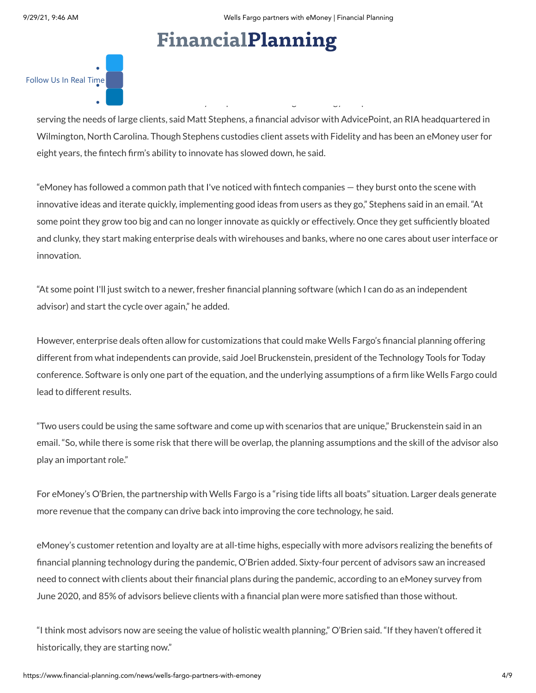### **Financial Planning** especially in the absence of robust relationships with their clients. If no relationship exists, a bank customer may likely



serving the needs of large clients, said Matt Stephens, a financial advisor with AdvicePoint, an RIA headquartered in Wilmington, North Carolina. Though Stephens custodies client assets with Fidelity and has been an eMoney user for eight years, the fintech firm's ability to innovate has slowed down, he said.

"eMoney has followed a common path that I've noticed with fintech companies — they burst onto the scene with innovative ideas and iterate quickly, implementing good ideas from users as they go," Stephens said in an email. "At some point they grow too big and can no longer innovate as quickly or effectively. Once they get sufficiently bloated and clunky, they start making enterprise deals with wirehouses and banks, where no one cares about user interface or innovation.

"At some point I'll just switch to a newer, fresher financial planning software (which I can do as an independent advisor) and start the cycle over again," he added.

However, enterprise deals often allow for customizations that could make Wells Fargo's financial planning offering different from what independents can provide, said Joel Bruckenstein, president of the Technology Tools for Today conference. Software is only one part of the equation, and the underlying assumptions of a firm like Wells Fargo could lead to different results.

"Two users could be using the same software and come up with scenarios that are unique," Bruckenstein said in an email. "So, while there is some risk that there will be overlap, the planning assumptions and the skill of the advisor also play an important role."

For eMoney's O'Brien, the partnership with Wells Fargo is a "rising tide lifts all boats" situation. Larger deals generate more revenue that the company can drive back into improving the core technology, he said.

eMoney's customer retention and loyalty are at all-time highs, especially with more advisors realizing the benefits of financial planning technology during the pandemic, O'Brien added. Sixty-four percent of advisors saw an increased need to connect with clients about their financial plans during the pandemic, according to an eMoney survey from June 2020, and 85% of advisors believe clients with a financial plan were more satisfied than those without.

"I think most advisors now are seeing the value of holistic wealth planning," O'Brien said. "If they haven't offered it historically, they are starting now."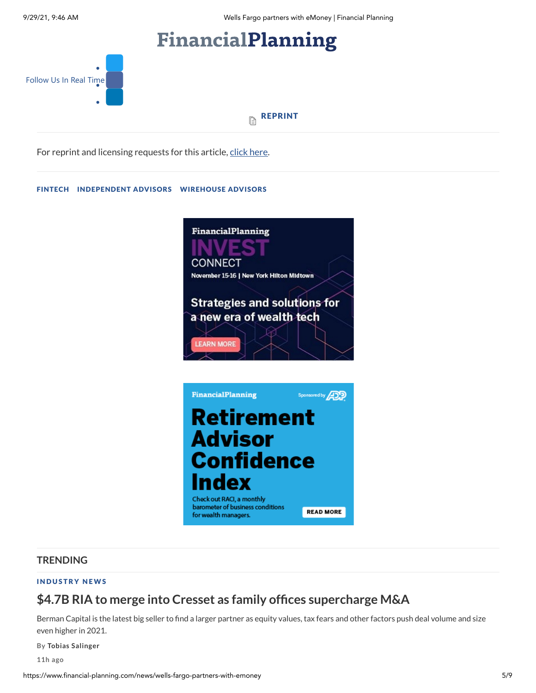

[REPRINT](https://info.wrightsmedia.com/source-media-licensing-and-reprints)  $\mathbb{R}$ 

For reprint and licensing requests for this article, click [here](https://info.wrightsmedia.com/arizent-licensing-and-reprints).

#### [FINTECH](https://www.financial-planning.com/fintech) [INDEPENDENT](https://www.financial-planning.com/independent-advisors) ADVISORS [WIREHOUSE](https://www.financial-planning.com/wirehouse-advisors) ADVISORS



### **TRENDING**

#### **INDUSTRY N[EWS](https://www.financial-planning.com/tag/industry-news)**

### **\$4.7B RIA to merge into Cresset as [family offices](https://www.financial-planning.com/news/4-7b-ria-berman-capital-to-merge-with-cresset) supercharge M&A**

Check out RACI, a monthly barometer of business conditions

for wealth managers.

Berman Capital is the latest big seller to find a larger partner as equity values, tax fears and other factors push deal volume and size even higher in 2021.

**READ MORE** 

**By Tobias [Salinger](https://www.financial-planning.com/author/tobias-salinger)**

**11h ago**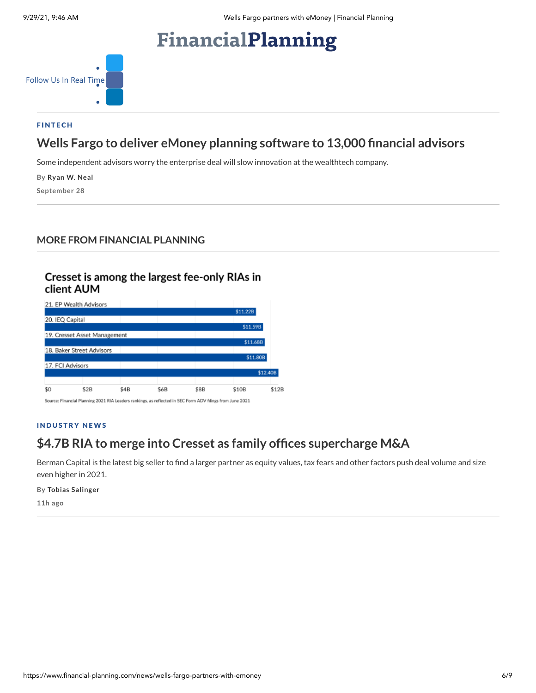

#### **FI[N](https://www.financial-planning.com/fintech)TECH**

### **Wells Fargo to [deliver eMoney planning](https://www.financial-planning.com/news/wells-fargo-partners-with-emoney) software to 13,000 financial advisors**

Some independent advisors worry the enterprise deal will slow innovation at the wealthtech company.

**By [Ryan](https://www.financial-planning.com/author/ryan-w-neal) W. Neal**

**September 28**

### **MORE FROM FINANCIAL PLANNING**

### Cresset is among the largest fee-only RIAs in client AUM



Source: Financial Planning 2021 RIA Leaders rankings, as reflected in SEC Form ADV filings from June 2021

#### **INDUSTRY N[EWS](https://www.financial-planning.com/tag/industry-news)**

### **\$4.7B RIA to merge into Cresset as [family offices](https://www.financial-planning.com/news/4-7b-ria-berman-capital-to-merge-with-cresset) supercharge M&A**

Berman Capital is the latest big seller to find a larger partner as equity values, tax fears and other factors push deal volume and size even higher in 2021.

**By Tobias [Salinger](https://www.financial-planning.com/author/tobias-salinger)**

**11h ago**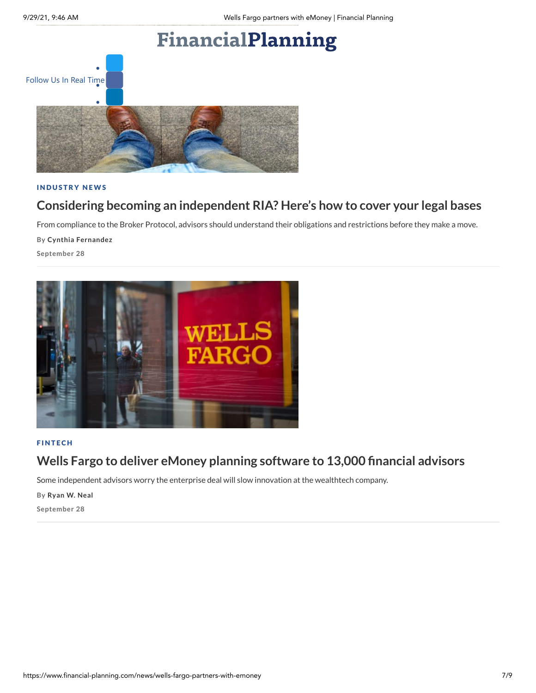

### **INDUSTRY N[EWS](https://www.financial-planning.com/tag/industry-news)**

### **Considering becoming an independent RIA? Here's how to [cover your legal](https://www.financial-planning.com/news/going-independent-here-are-some-things-to-think-about-according-to-lawyers) bases**

From compliance to the Broker Protocol, advisors should understand their obligations and restrictions before they make a move.

**By Cynthia [Fernandez](https://www.financial-planning.com/author/cynthia-fernandez)**

**September 28**



#### **FI[N](https://www.financial-planning.com/fintech)TECH**

## **Wells Fargo to [deliver eMoney planning](https://www.financial-planning.com/news/wells-fargo-partners-with-emoney) software to 13,000 financial advisors**

Some independent advisors worry the enterprise deal will slow innovation at the wealthtech company.

**By [Ryan](https://www.financial-planning.com/author/ryan-w-neal) W. Neal**

**September 28**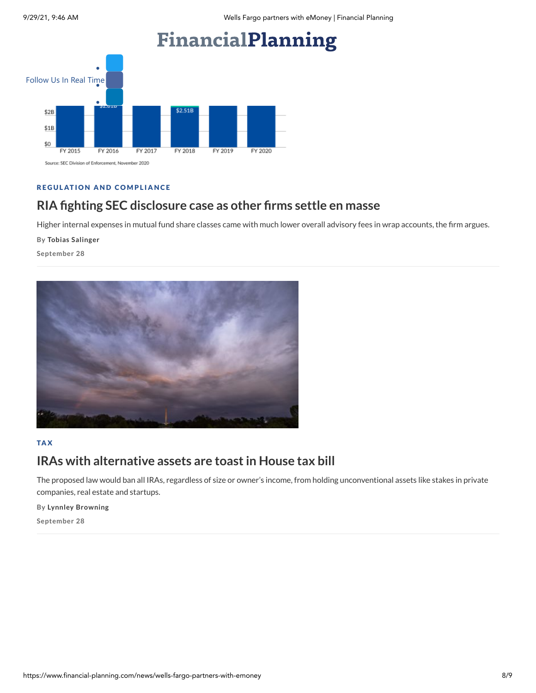

Source: SEC Division of Enforcement, November 2020

### REGUL[AT](https://www.financial-planning.com/tag/regulation-and-compliance)ION AND COMPLIANCE

# **RIA fighting SEC disclosure case as [other firms](https://www.financial-planning.com/news/sec-charges-buttonwood-ria-with-disclosure-failures) settle en masse**

Higher internal expenses in mutual fund share classes came with much lower overall advisory fees in wrap accounts, the firm argues.

**By Tobias [Salinger](https://www.financial-planning.com/author/tobias-salinger)**

**September 28**



### [TA](https://www.financial-planning.com/tag/tax) X

## **IRAs with [alternative](https://www.financial-planning.com/news/iras-with-alternative-investments-assets-other-than-stocks-bonds-or-mutual-funds-would-no-longer-be-allowed-under-democrats-tax-bill) assets are toastin House tax bill**

The proposed law would ban all IRAs, regardless of size or owner's income, from holding unconventional assets like stakes in private companies, real estate and startups.

**By Lynnley [Browning](https://www.financial-planning.com/author/lynnley-browning)**

**September 28**